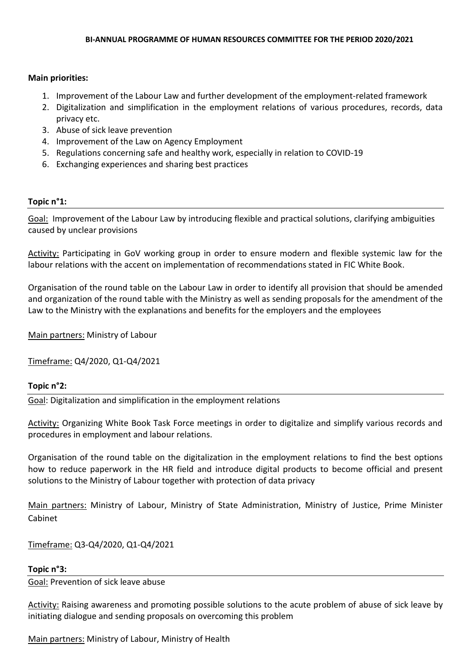# **Main priorities:**

- 1. Improvement of the Labour Law and further development of the employment-related framework
- 2. Digitalization and simplification in the employment relations of various procedures, records, data privacy etc.
- 3. Abuse of sick leave prevention
- 4. Improvement of the Law on Agency Employment
- 5. Regulations concerning safe and healthy work, especially in relation to COVID-19
- 6. Exchanging experiences and sharing best practices

# **Topic n°1:**

Goal: Improvement of the Labour Law by introducing flexible and practical solutions, clarifying ambiguities caused by unclear provisions

Activity: Participating in GoV working group in order to ensure modern and flexible systemic law for the labour relations with the accent on implementation of recommendations stated in FIC White Book.

Organisation of the round table on the Labour Law in order to identify all provision that should be amended and organization of the round table with the Ministry as well as sending proposals for the amendment of the Law to the Ministry with the explanations and benefits for the employers and the employees

Main partners: Ministry of Labour

Timeframe: Q4/2020, Q1-Q4/2021

# **Topic n°2:**

Goal: Digitalization and simplification in the employment relations

Activity: Organizing White Book Task Force meetings in order to digitalize and simplify various records and procedures in employment and labour relations.

Organisation of the round table on the digitalization in the employment relations to find the best options how to reduce paperwork in the HR field and introduce digital products to become official and present solutions to the Ministry of Labour together with protection of data privacy

Main partners: Ministry of Labour, Ministry of State Administration, Ministry of Justice, Prime Minister Cabinet

Timeframe: Q3-Q4/2020, Q1-Q4/2021

### **Topic n°3:**

Goal: Prevention of sick leave abuse

Activity: Raising awareness and promoting possible solutions to the acute problem of abuse of sick leave by initiating dialogue and sending proposals on overcoming this problem

Main partners: Ministry of Labour, Ministry of Health